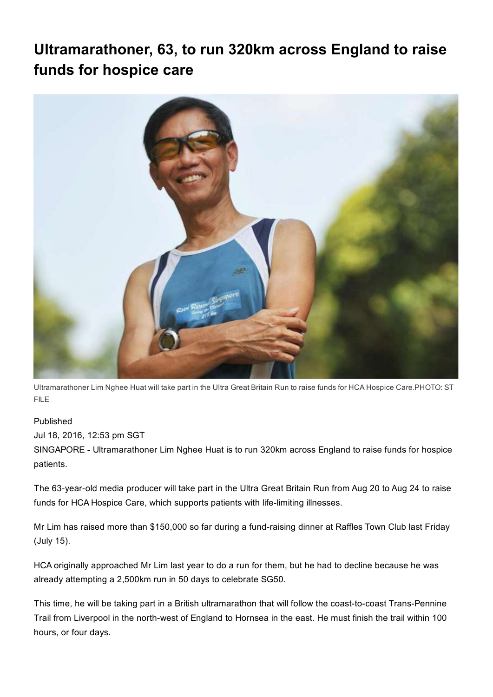## Ultramarathoner, 63, to run 320km across England to raise funds for hospice care



Ultramarathoner Lim Nghee Huat will take part in the Ultra Great Britain Run to raise funds for HCA Hospice Care.PHOTO: ST FILE

## Published

Jul 18, 2016, 12:53 pm SGT

SINGAPORE - Ultramarathoner Lim Nghee Huat is to run 320km across England to raise funds for hospice patients.

The 63-year-old media producer will take part in the Ultra Great Britain Run from Aug 20 to Aug 24 to raise funds for HCA Hospice Care, which supports patients with life-limiting illnesses.

Mr Lim has raised more than \$150,000 so far during a fund-raising dinner at Raffles Town Club last Friday (July 15).

HCA originally approached Mr Lim last year to do a run for them, but he had to decline because he was already attempting a 2,500km run in 50 days to celebrate SG50.

This time, he will be taking part in a British ultramarathon that will follow the coast-to-coast Trans-Pennine Trail from Liverpool in the north-west of England to Hornsea in the east. He must finish the trail within 100 hours, or four days.